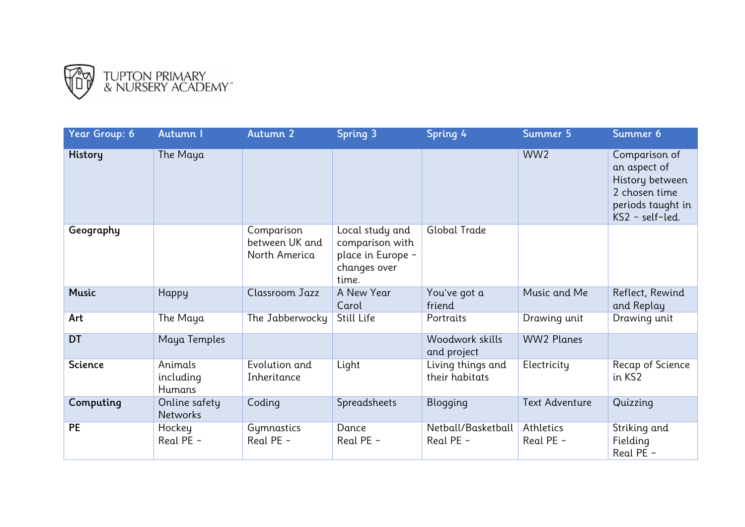

| Year Group: 6  | Autumn I                              | Autumn 2                                      | <b>Spring 3</b>                                                                  | Spring 4                            | Summer 5               | Summer 6                                                                                                  |
|----------------|---------------------------------------|-----------------------------------------------|----------------------------------------------------------------------------------|-------------------------------------|------------------------|-----------------------------------------------------------------------------------------------------------|
| History        | The Maya                              |                                               |                                                                                  |                                     | WW <sub>2</sub>        | Comparison of<br>an aspect of<br>History between<br>2 chosen time<br>periods taught in<br>KS2 - self-led. |
| Geography      |                                       | Comparison<br>between UK and<br>North America | Local study and<br>comparison with<br>place in Europe -<br>changes over<br>time. | <b>Global Trade</b>                 |                        |                                                                                                           |
| <b>Music</b>   | <b>Happy</b>                          | Classroom Jazz                                | A New Year<br>Carol                                                              | You've got a<br>friend              | Music and Me           | Reflect, Rewind<br>and Replay                                                                             |
| Art            | The Maya                              | The Jabberwocky                               | Still Life                                                                       | Portraits                           | Drawing unit           | Drawing unit                                                                                              |
| <b>DT</b>      | Maya Temples                          |                                               |                                                                                  | Woodwork skills<br>and project      | <b>WW2 Planes</b>      |                                                                                                           |
| <b>Science</b> | Animals<br>including<br><b>Humans</b> | Evolution and<br>Inheritance                  | Light                                                                            | Living things and<br>their habitats | Electricity            | Recap of Science<br>in KS2                                                                                |
| Computing      | Online safety<br><b>Networks</b>      | Coding                                        | Spreadsheets                                                                     | <b>Blogging</b>                     | <b>Text Adventure</b>  | Quizzing                                                                                                  |
| <b>PE</b>      | Hockey<br>Real PE -                   | Gymnastics<br>Real PE -                       | Dance<br>Real PE -                                                               | Netball/Basketball<br>Real PE -     | Athletics<br>Real PE - | Striking and<br>Fielding<br>Real PE -                                                                     |